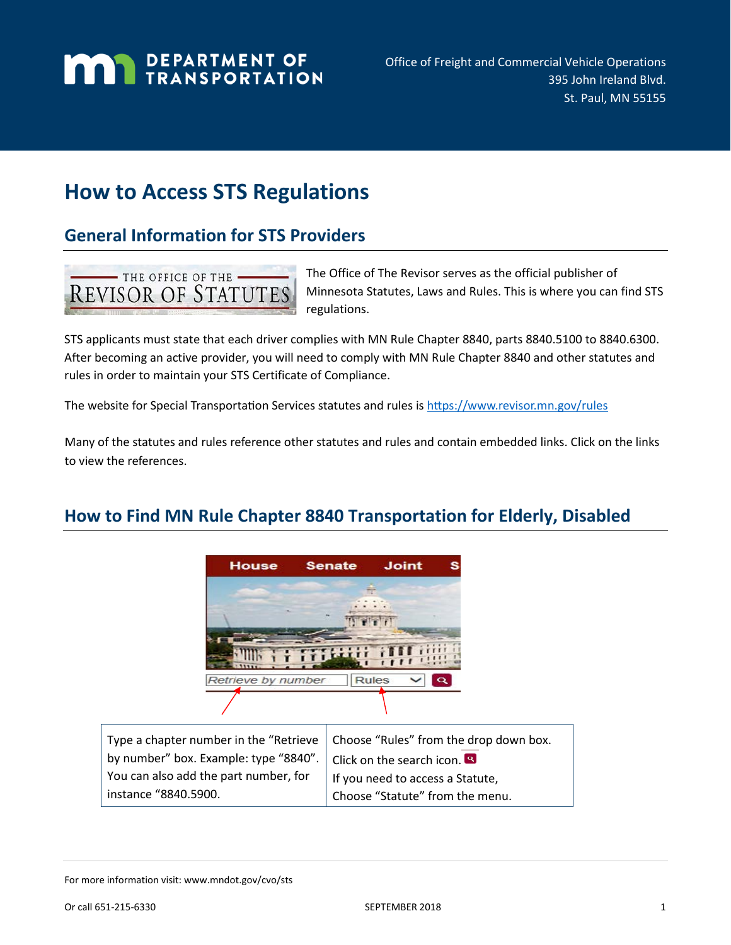# **MAN** DEPARTMENT OF

# **How to Access STS Regulations**

# **General Information for STS Providers**



The Office of The Revisor serves as the official publisher of Minnesota Statutes, Laws and Rules. This is where you can find STS regulations.

STS applicants must state that each driver complies with MN Rule Chapter 8840, parts 8840.5100 to 8840.6300. After becoming an active provider, you will need to comply with MN Rule Chapter 8840 and other statutes and rules in order to maintain your STS Certificate of Compliance.

The website for Special Transportation Services statutes and rules is <https://www.revisor.mn.gov/rules>

Many of the statutes and rules reference other statutes and rules and contain embedded links. Click on the links to view the references.

# **How to Find MN Rule Chapter 8840 Transportation for Elderly, Disabled**



Type a chapter number in the "Retrieve by number" box. Example: type "8840". You can also add the part number, for instance "8840.5900.

Choose "Rules" from the drop down box. Click on the search icon. <sup>8</sup> If you need to access a Statute, Choose "Statute" from the menu.

For more information visit: www.mndot.gov/cvo/sts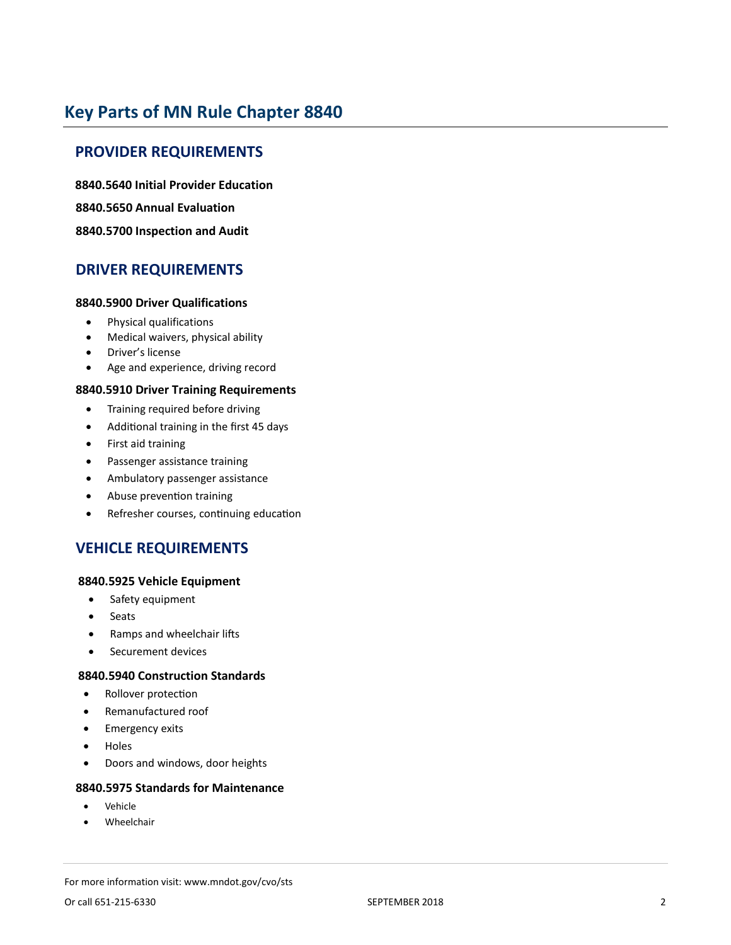# **Key Parts of MN Rule Chapter 8840**

## **PROVIDER REQUIREMENTS**

**8840.5640 Initial Provider Education 8840.5650 Annual Evaluation**

## **8840.5700 Inspection and Audit**

## **DRIVER REQUIREMENTS**

## **8840.5900 Driver Qualifications**

- Physical qualifications
- Medical waivers, physical ability
- Driver's license
- Age and experience, driving record

## **8840.5910 Driver Training Requirements**

- Training required before driving
- Additional training in the first 45 days
- First aid training
- Passenger assistance training
- Ambulatory passenger assistance
- Abuse prevention training
- Refresher courses, continuing education

## **VEHICLE REQUIREMENTS**

#### **8840.5925 Vehicle Equipment**

- Safety equipment
- **Seats**
- Ramps and wheelchair lifts
- Securement devices

## **8840.5940 Construction Standards**

- Rollover protection
- Remanufactured roof
- Emergency exits
- Holes
- Doors and windows, door heights

#### **8840.5975 Standards for Maintenance**

- **Vehicle**
- **Wheelchair**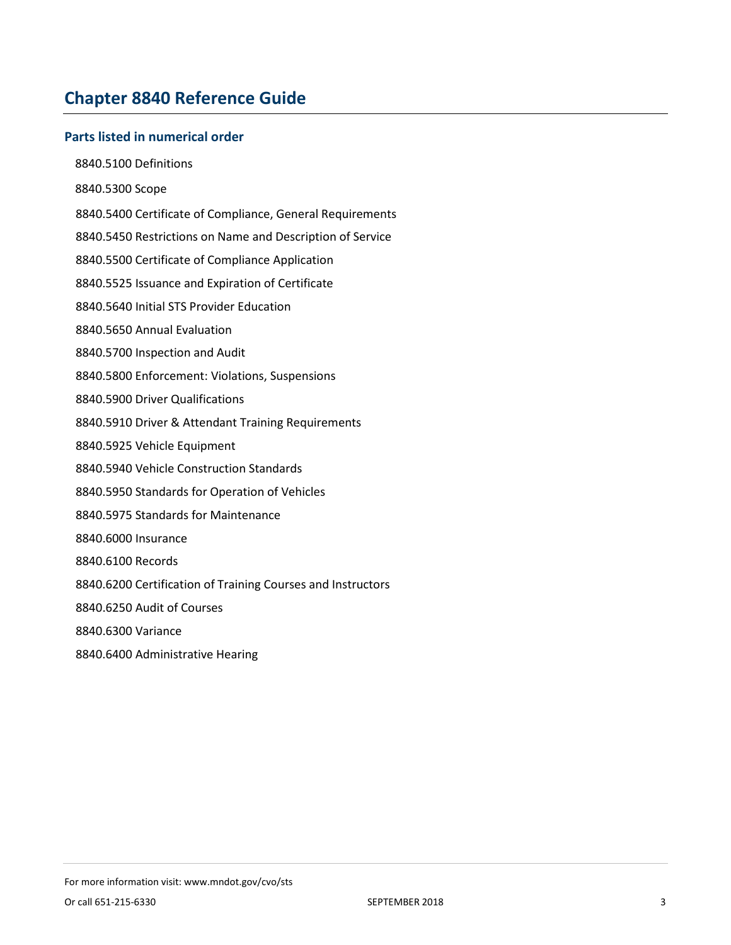# **Chapter 8840 Reference Guide**

## **Parts listed in numerical order**

- 8840.5100 Definitions
- 8840.5300 Scope
- 8840.5400 Certificate of Compliance, General Requirements
- 8840.5450 Restrictions on Name and Description of Service
- 8840.5500 Certificate of Compliance Application
- 8840.5525 Issuance and Expiration of Certificate
- 8840.5640 Initial STS Provider Education
- 8840.5650 Annual Evaluation
- 8840.5700 Inspection and Audit
- 8840.5800 Enforcement: Violations, Suspensions
- 8840.5900 Driver Qualifications
- 8840.5910 Driver & Attendant Training Requirements
- 8840.5925 Vehicle Equipment
- 8840.5940 Vehicle Construction Standards
- 8840.5950 Standards for Operation of Vehicles
- 8840.5975 Standards for Maintenance
- 8840.6000 Insurance
- 8840.6100 Records
- 8840.6200 Certification of Training Courses and Instructors
- 8840.6250 Audit of Courses
- 8840.6300 Variance
- 8840.6400 Administrative Hearing